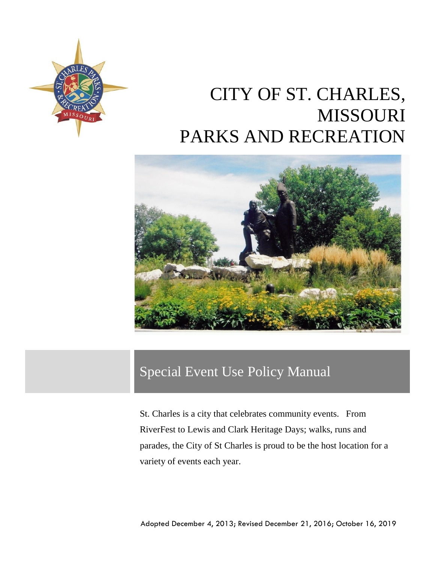

# CITY OF ST. CHARLES, MISSOURI PARKS AND RECREATION



## Special Event Use Policy Manual

St. Charles is a city that celebrates community events. From RiverFest to Lewis and Clark Heritage Days; walks, runs and parades, the City of St Charles is proud to be the host location for a variety of events each year.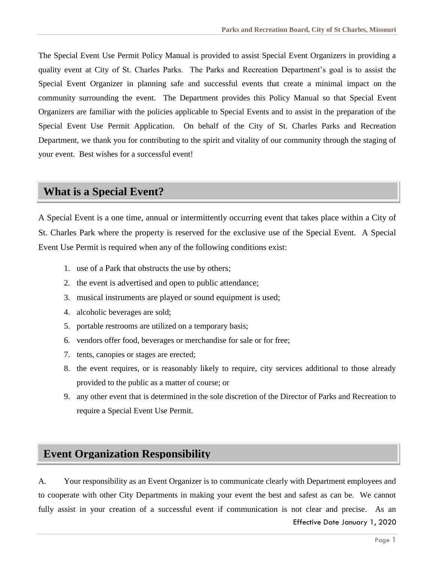The Special Event Use Permit Policy Manual is provided to assist Special Event Organizers in providing a quality event at City of St. Charles Parks. The Parks and Recreation Department's goal is to assist the Special Event Organizer in planning safe and successful events that create a minimal impact on the community surrounding the event. The Department provides this Policy Manual so that Special Event Organizers are familiar with the policies applicable to Special Events and to assist in the preparation of the Special Event Use Permit Application. On behalf of the City of St. Charles Parks and Recreation Department, we thank you for contributing to the spirit and vitality of our community through the staging of your event. Best wishes for a successful event!

## **What is a Special Event?**

A Special Event is a one time, annual or intermittently occurring event that takes place within a City of St. Charles Park where the property is reserved for the exclusive use of the Special Event. A Special Event Use Permit is required when any of the following conditions exist:

- 1. use of a Park that obstructs the use by others;
- 2. the event is advertised and open to public attendance;
- 3. musical instruments are played or sound equipment is used;
- 4. alcoholic beverages are sold;
- 5. portable restrooms are utilized on a temporary basis;
- 6. vendors offer food, beverages or merchandise for sale or for free;
- 7. tents, canopies or stages are erected;
- 8. the event requires, or is reasonably likely to require, city services additional to those already provided to the public as a matter of course; or
- 9. any other event that is determined in the sole discretion of the Director of Parks and Recreation to require a Special Event Use Permit.

## **Event Organization Responsibility**

A. Your responsibility as an Event Organizer is to communicate clearly with Department employees and to cooperate with other City Departments in making your event the best and safest as can be. We cannot fully assist in your creation of a successful event if communication is not clear and precise. As an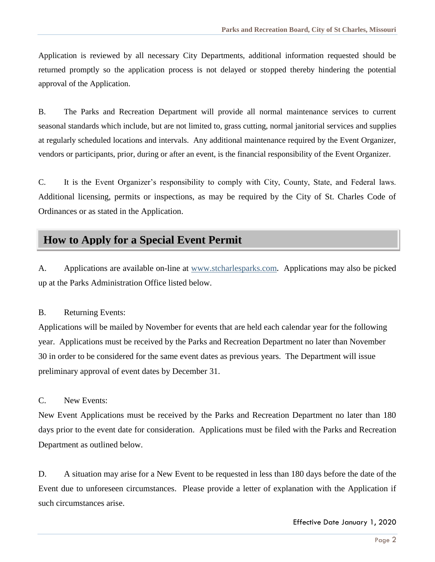Application is reviewed by all necessary City Departments, additional information requested should be returned promptly so the application process is not delayed or stopped thereby hindering the potential approval of the Application.

B. The Parks and Recreation Department will provide all normal maintenance services to current seasonal standards which include, but are not limited to, grass cutting, normal janitorial services and supplies at regularly scheduled locations and intervals. Any additional maintenance required by the Event Organizer, vendors or participants, prior, during or after an event, is the financial responsibility of the Event Organizer.

C. It is the Event Organizer's responsibility to comply with City, County, State, and Federal laws. Additional licensing, permits or inspections, as may be required by the City of St. Charles Code of Ordinances or as stated in the Application.

## **How to Apply for a Special Event Permit**

A. Applications are available on-line at [www.stcharlesparks.com](http://www.stcharlesparks.com/). Applications may also be picked up at the Parks Administration Office listed below.

#### B. Returning Events:

Applications will be mailed by November for events that are held each calendar year for the following year. Applications must be received by the Parks and Recreation Department no later than November 30 in order to be considered for the same event dates as previous years. The Department will issue preliminary approval of event dates by December 31.

#### C. New Events:

New Event Applications must be received by the Parks and Recreation Department no later than 180 days prior to the event date for consideration. Applications must be filed with the Parks and Recreation Department as outlined below.

D. A situation may arise for a New Event to be requested in less than 180 days before the date of the Event due to unforeseen circumstances. Please provide a letter of explanation with the Application if such circumstances arise.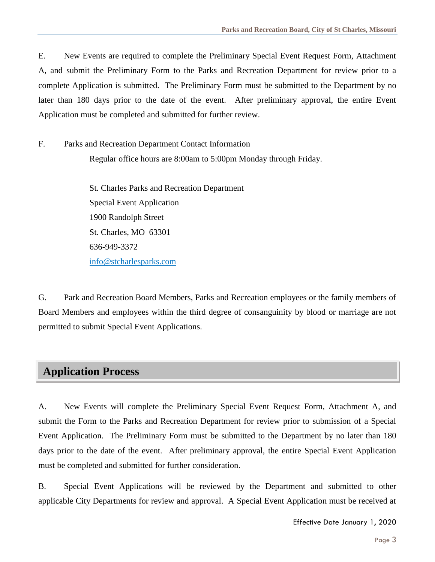E. New Events are required to complete the Preliminary Special Event Request Form, Attachment A, and submit the Preliminary Form to the Parks and Recreation Department for review prior to a complete Application is submitted. The Preliminary Form must be submitted to the Department by no later than 180 days prior to the date of the event. After preliminary approval, the entire Event Application must be completed and submitted for further review.

F. Parks and Recreation Department Contact Information Regular office hours are 8:00am to 5:00pm Monday through Friday.

> St. Charles Parks and Recreation Department Special Event Application 1900 Randolph Street St. Charles, MO 63301 636-949-3372 [info@stcharlesparks.com](mailto:info@stcharlesparks.com)

G. Park and Recreation Board Members, Parks and Recreation employees or the family members of Board Members and employees within the third degree of consanguinity by blood or marriage are not permitted to submit Special Event Applications.

## **Application Process**

A. New Events will complete the Preliminary Special Event Request Form, Attachment A, and submit the Form to the Parks and Recreation Department for review prior to submission of a Special Event Application. The Preliminary Form must be submitted to the Department by no later than 180 days prior to the date of the event. After preliminary approval, the entire Special Event Application must be completed and submitted for further consideration.

B. Special Event Applications will be reviewed by the Department and submitted to other applicable City Departments for review and approval. A Special Event Application must be received at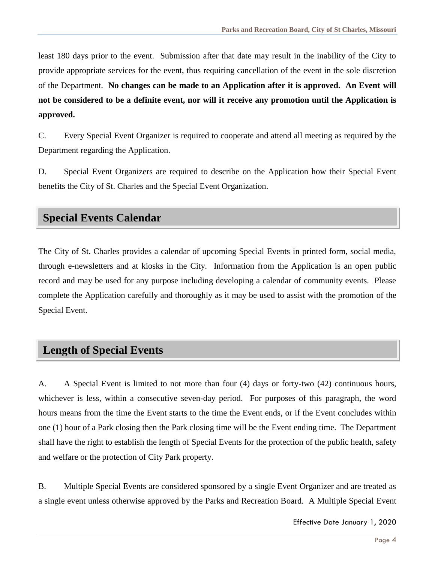least 180 days prior to the event. Submission after that date may result in the inability of the City to provide appropriate services for the event, thus requiring cancellation of the event in the sole discretion of the Department. **No changes can be made to an Application after it is approved. An Event will not be considered to be a definite event, nor will it receive any promotion until the Application is approved.** 

C. Every Special Event Organizer is required to cooperate and attend all meeting as required by the Department regarding the Application.

D. Special Event Organizers are required to describe on the Application how their Special Event benefits the City of St. Charles and the Special Event Organization.

## **Special Events Calendar**

The City of St. Charles provides a calendar of upcoming Special Events in printed form, social media, through e-newsletters and at kiosks in the City. Information from the Application is an open public record and may be used for any purpose including developing a calendar of community events. Please complete the Application carefully and thoroughly as it may be used to assist with the promotion of the Special Event.

## **Length of Special Events**

A. A Special Event is limited to not more than four (4) days or forty-two (42) continuous hours, whichever is less, within a consecutive seven-day period. For purposes of this paragraph, the word hours means from the time the Event starts to the time the Event ends, or if the Event concludes within one (1) hour of a Park closing then the Park closing time will be the Event ending time. The Department shall have the right to establish the length of Special Events for the protection of the public health, safety and welfare or the protection of City Park property.

B. Multiple Special Events are considered sponsored by a single Event Organizer and are treated as a single event unless otherwise approved by the Parks and Recreation Board. A Multiple Special Event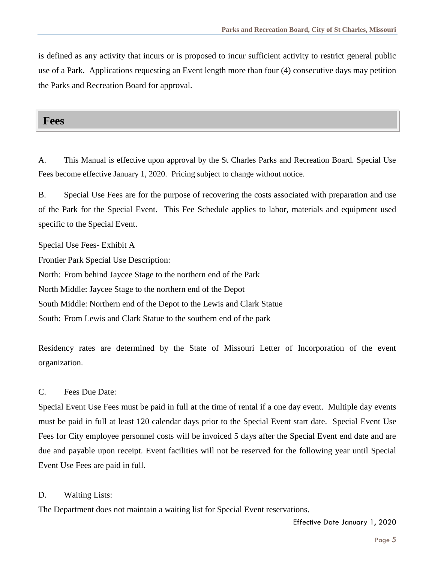is defined as any activity that incurs or is proposed to incur sufficient activity to restrict general public use of a Park. Applications requesting an Event length more than four (4) consecutive days may petition the Parks and Recreation Board for approval.

#### **Fees**

A. This Manual is effective upon approval by the St Charles Parks and Recreation Board. Special Use Fees become effective January 1, 2020. Pricing subject to change without notice.

B. Special Use Fees are for the purpose of recovering the costs associated with preparation and use of the Park for the Special Event. This Fee Schedule applies to labor, materials and equipment used specific to the Special Event.

Special Use Fees- Exhibit A

Frontier Park Special Use Description:

North: From behind Jaycee Stage to the northern end of the Park

North Middle: Jaycee Stage to the northern end of the Depot

South Middle: Northern end of the Depot to the Lewis and Clark Statue

South: From Lewis and Clark Statue to the southern end of the park

Residency rates are determined by the State of Missouri Letter of Incorporation of the event organization.

#### C. Fees Due Date:

Special Event Use Fees must be paid in full at the time of rental if a one day event. Multiple day events must be paid in full at least 120 calendar days prior to the Special Event start date. Special Event Use Fees for City employee personnel costs will be invoiced 5 days after the Special Event end date and are due and payable upon receipt. Event facilities will not be reserved for the following year until Special Event Use Fees are paid in full.

#### D. Waiting Lists:

The Department does not maintain a waiting list for Special Event reservations.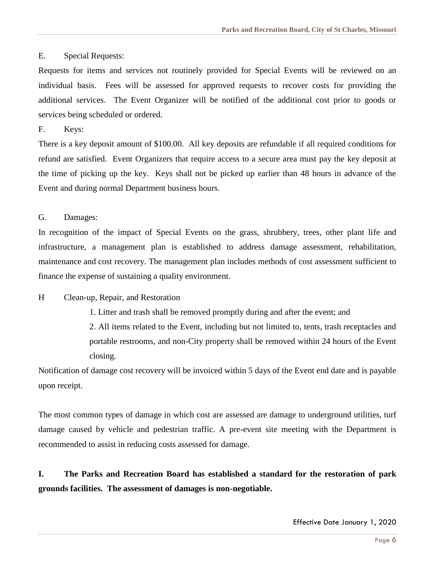#### E. Special Requests:

Requests for items and services not routinely provided for Special Events will be reviewed on an individual basis. Fees will be assessed for approved requests to recover costs for providing the additional services. The Event Organizer will be notified of the additional cost prior to goods or services being scheduled or ordered.

F. Keys:

There is a key deposit amount of \$100.00. All key deposits are refundable if all required conditions for refund are satisfied. Event Organizers that require access to a secure area must pay the key deposit at the time of picking up the key. Keys shall not be picked up earlier than 48 hours in advance of the Event and during normal Department business hours.

#### G. Damages:

In recognition of the impact of Special Events on the grass, shrubbery, trees, other plant life and infrastructure, a management plan is established to address damage assessment, rehabilitation, maintenance and cost recovery. The management plan includes methods of cost assessment sufficient to finance the expense of sustaining a quality environment.

#### H Clean-up, Repair, and Restoration

1. Litter and trash shall be removed promptly during and after the event; and

2. All items related to the Event, including but not limited to, tents, trash receptacles and portable restrooms, and non-City property shall be removed within 24 hours of the Event closing.

Notification of damage cost recovery will be invoiced within 5 days of the Event end date and is payable upon receipt.

The most common types of damage in which cost are assessed are damage to underground utilities, turf damage caused by vehicle and pedestrian traffic. A pre-event site meeting with the Department is recommended to assist in reducing costs assessed for damage.

**I. The Parks and Recreation Board has established a standard for the restoration of park grounds facilities. The assessment of damages is non-negotiable.**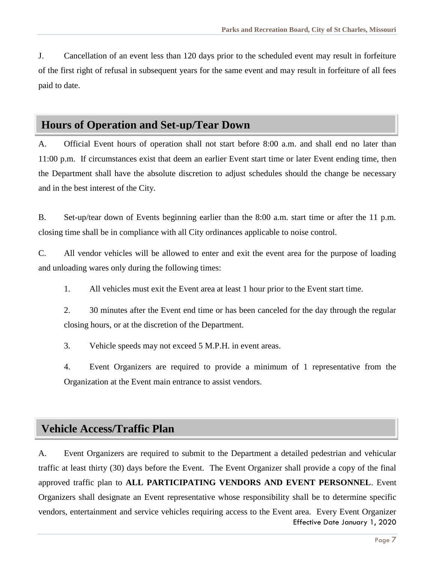J. Cancellation of an event less than 120 days prior to the scheduled event may result in forfeiture of the first right of refusal in subsequent years for the same event and may result in forfeiture of all fees paid to date.

#### **Hours of Operation and Set-up/Tear Down**

A. Official Event hours of operation shall not start before 8:00 a.m. and shall end no later than 11:00 p.m. If circumstances exist that deem an earlier Event start time or later Event ending time, then the Department shall have the absolute discretion to adjust schedules should the change be necessary and in the best interest of the City.

B. Set-up/tear down of Events beginning earlier than the 8:00 a.m. start time or after the 11 p.m. closing time shall be in compliance with all City ordinances applicable to noise control.

C. All vendor vehicles will be allowed to enter and exit the event area for the purpose of loading and unloading wares only during the following times:

1. All vehicles must exit the Event area at least 1 hour prior to the Event start time.

2. 30 minutes after the Event end time or has been canceled for the day through the regular closing hours, or at the discretion of the Department.

3. Vehicle speeds may not exceed 5 M.P.H. in event areas.

4. Event Organizers are required to provide a minimum of 1 representative from the Organization at the Event main entrance to assist vendors.

#### **Vehicle Access/Traffic Plan**

Effective Date January 1, 2020 A. Event Organizers are required to submit to the Department a detailed pedestrian and vehicular traffic at least thirty (30) days before the Event. The Event Organizer shall provide a copy of the final approved traffic plan to **ALL PARTICIPATING VENDORS AND EVENT PERSONNEL**. Event Organizers shall designate an Event representative whose responsibility shall be to determine specific vendors, entertainment and service vehicles requiring access to the Event area. Every Event Organizer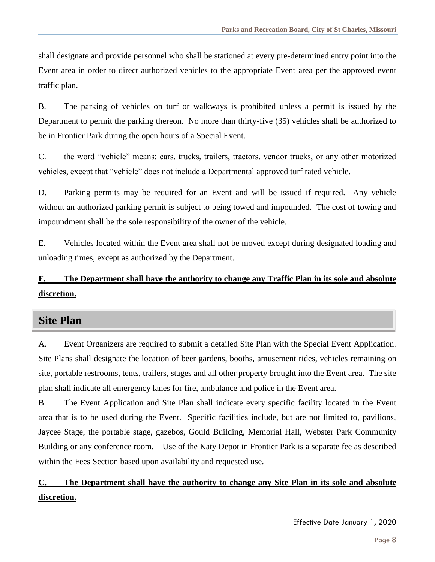shall designate and provide personnel who shall be stationed at every pre-determined entry point into the Event area in order to direct authorized vehicles to the appropriate Event area per the approved event traffic plan.

B. The parking of vehicles on turf or walkways is prohibited unless a permit is issued by the Department to permit the parking thereon. No more than thirty-five (35) vehicles shall be authorized to be in Frontier Park during the open hours of a Special Event.

C. the word "vehicle" means: cars, trucks, trailers, tractors, vendor trucks, or any other motorized vehicles, except that "vehicle" does not include a Departmental approved turf rated vehicle.

D. Parking permits may be required for an Event and will be issued if required. Any vehicle without an authorized parking permit is subject to being towed and impounded. The cost of towing and impoundment shall be the sole responsibility of the owner of the vehicle.

E. Vehicles located within the Event area shall not be moved except during designated loading and unloading times, except as authorized by the Department.

## **F. The Department shall have the authority to change any Traffic Plan in its sole and absolute discretion.**

## **Site Plan**

A. Event Organizers are required to submit a detailed Site Plan with the Special Event Application. Site Plans shall designate the location of beer gardens, booths, amusement rides, vehicles remaining on site, portable restrooms, tents, trailers, stages and all other property brought into the Event area. The site plan shall indicate all emergency lanes for fire, ambulance and police in the Event area.

B. The Event Application and Site Plan shall indicate every specific facility located in the Event area that is to be used during the Event. Specific facilities include, but are not limited to, pavilions, Jaycee Stage, the portable stage, gazebos, Gould Building, Memorial Hall, Webster Park Community Building or any conference room. Use of the Katy Depot in Frontier Park is a separate fee as described within the Fees Section based upon availability and requested use.

## **C. The Department shall have the authority to change any Site Plan in its sole and absolute discretion.**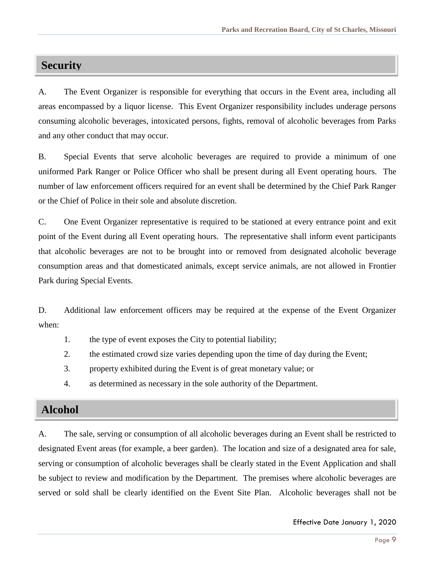## **Security**

A. The Event Organizer is responsible for everything that occurs in the Event area, including all areas encompassed by a liquor license. This Event Organizer responsibility includes underage persons consuming alcoholic beverages, intoxicated persons, fights, removal of alcoholic beverages from Parks and any other conduct that may occur.

B. Special Events that serve alcoholic beverages are required to provide a minimum of one uniformed Park Ranger or Police Officer who shall be present during all Event operating hours. The number of law enforcement officers required for an event shall be determined by the Chief Park Ranger or the Chief of Police in their sole and absolute discretion.

C. One Event Organizer representative is required to be stationed at every entrance point and exit point of the Event during all Event operating hours. The representative shall inform event participants that alcoholic beverages are not to be brought into or removed from designated alcoholic beverage consumption areas and that domesticated animals, except service animals, are not allowed in Frontier Park during Special Events.

D. Additional law enforcement officers may be required at the expense of the Event Organizer when:

- 1. the type of event exposes the City to potential liability;
- 2. the estimated crowd size varies depending upon the time of day during the Event;
- 3. property exhibited during the Event is of great monetary value; or
- 4. as determined as necessary in the sole authority of the Department.

## **Alcohol**

A. The sale, serving or consumption of all alcoholic beverages during an Event shall be restricted to designated Event areas (for example, a beer garden). The location and size of a designated area for sale, serving or consumption of alcoholic beverages shall be clearly stated in the Event Application and shall be subject to review and modification by the Department. The premises where alcoholic beverages are served or sold shall be clearly identified on the Event Site Plan. Alcoholic beverages shall not be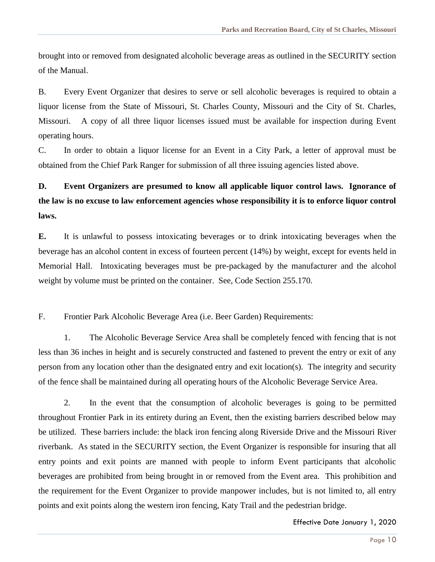brought into or removed from designated alcoholic beverage areas as outlined in the SECURITY section of the Manual.

B. Every Event Organizer that desires to serve or sell alcoholic beverages is required to obtain a liquor license from the State of Missouri, St. Charles County, Missouri and the City of St. Charles, Missouri. A copy of all three liquor licenses issued must be available for inspection during Event operating hours.

C. In order to obtain a liquor license for an Event in a City Park, a letter of approval must be obtained from the Chief Park Ranger for submission of all three issuing agencies listed above.

## **D. Event Organizers are presumed to know all applicable liquor control laws. Ignorance of the law is no excuse to law enforcement agencies whose responsibility it is to enforce liquor control laws.**

**E.** It is unlawful to possess intoxicating beverages or to drink intoxicating beverages when the beverage has an alcohol content in excess of fourteen percent (14%) by weight, except for events held in Memorial Hall. Intoxicating beverages must be pre-packaged by the manufacturer and the alcohol weight by volume must be printed on the container. See, Code Section 255.170.

F. Frontier Park Alcoholic Beverage Area (i.e. Beer Garden) Requirements:

1. The Alcoholic Beverage Service Area shall be completely fenced with fencing that is not less than 36 inches in height and is securely constructed and fastened to prevent the entry or exit of any person from any location other than the designated entry and exit location(s). The integrity and security of the fence shall be maintained during all operating hours of the Alcoholic Beverage Service Area.

2. In the event that the consumption of alcoholic beverages is going to be permitted throughout Frontier Park in its entirety during an Event, then the existing barriers described below may be utilized. These barriers include: the black iron fencing along Riverside Drive and the Missouri River riverbank. As stated in the SECURITY section, the Event Organizer is responsible for insuring that all entry points and exit points are manned with people to inform Event participants that alcoholic beverages are prohibited from being brought in or removed from the Event area. This prohibition and the requirement for the Event Organizer to provide manpower includes, but is not limited to, all entry points and exit points along the western iron fencing, Katy Trail and the pedestrian bridge.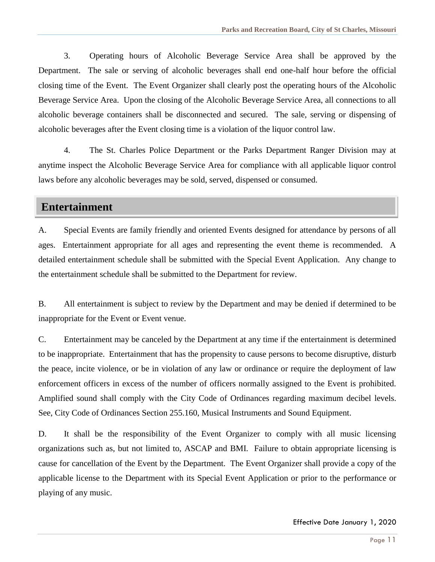3. Operating hours of Alcoholic Beverage Service Area shall be approved by the Department. The sale or serving of alcoholic beverages shall end one-half hour before the official closing time of the Event. The Event Organizer shall clearly post the operating hours of the Alcoholic Beverage Service Area. Upon the closing of the Alcoholic Beverage Service Area, all connections to all alcoholic beverage containers shall be disconnected and secured. The sale, serving or dispensing of alcoholic beverages after the Event closing time is a violation of the liquor control law.

4. The St. Charles Police Department or the Parks Department Ranger Division may at anytime inspect the Alcoholic Beverage Service Area for compliance with all applicable liquor control laws before any alcoholic beverages may be sold, served, dispensed or consumed.

#### **Entertainment**

A. Special Events are family friendly and oriented Events designed for attendance by persons of all ages. Entertainment appropriate for all ages and representing the event theme is recommended. A detailed entertainment schedule shall be submitted with the Special Event Application. Any change to the entertainment schedule shall be submitted to the Department for review.

B. All entertainment is subject to review by the Department and may be denied if determined to be inappropriate for the Event or Event venue.

C. Entertainment may be canceled by the Department at any time if the entertainment is determined to be inappropriate. Entertainment that has the propensity to cause persons to become disruptive, disturb the peace, incite violence, or be in violation of any law or ordinance or require the deployment of law enforcement officers in excess of the number of officers normally assigned to the Event is prohibited. Amplified sound shall comply with the City Code of Ordinances regarding maximum decibel levels. See, City Code of Ordinances Section 255.160, Musical Instruments and Sound Equipment.

D. It shall be the responsibility of the Event Organizer to comply with all music licensing organizations such as, but not limited to, ASCAP and BMI. Failure to obtain appropriate licensing is cause for cancellation of the Event by the Department. The Event Organizer shall provide a copy of the applicable license to the Department with its Special Event Application or prior to the performance or playing of any music.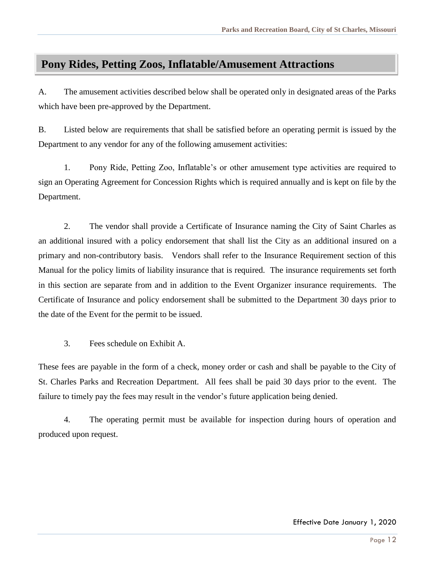## **Pony Rides, Petting Zoos, Inflatable/Amusement Attractions**

A. The amusement activities described below shall be operated only in designated areas of the Parks which have been pre-approved by the Department.

B. Listed below are requirements that shall be satisfied before an operating permit is issued by the Department to any vendor for any of the following amusement activities:

1. Pony Ride, Petting Zoo, Inflatable's or other amusement type activities are required to sign an Operating Agreement for Concession Rights which is required annually and is kept on file by the Department.

2. The vendor shall provide a Certificate of Insurance naming the City of Saint Charles as an additional insured with a policy endorsement that shall list the City as an additional insured on a primary and non-contributory basis. Vendors shall refer to the Insurance Requirement section of this Manual for the policy limits of liability insurance that is required. The insurance requirements set forth in this section are separate from and in addition to the Event Organizer insurance requirements. The Certificate of Insurance and policy endorsement shall be submitted to the Department 30 days prior to the date of the Event for the permit to be issued.

3. Fees schedule on Exhibit A.

These fees are payable in the form of a check, money order or cash and shall be payable to the City of St. Charles Parks and Recreation Department. All fees shall be paid 30 days prior to the event. The failure to timely pay the fees may result in the vendor's future application being denied.

4. The operating permit must be available for inspection during hours of operation and produced upon request.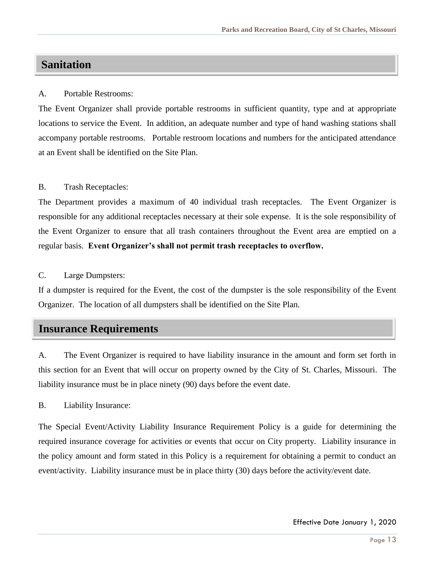## **Sanitation**

#### A. Portable Restrooms:

The Event Organizer shall provide portable restrooms in sufficient quantity, type and at appropriate locations to service the Event. In addition, an adequate number and type of hand washing stations shall accompany portable restrooms. Portable restroom locations and numbers for the anticipated attendance at an Event shall be identified on the Site Plan.

#### B. Trash Receptacles:

The Department provides a maximum of 40 individual trash receptacles. The Event Organizer is responsible for any additional receptacles necessary at their sole expense. It is the sole responsibility of the Event Organizer to ensure that all trash containers throughout the Event area are emptied on a regular basis. **Event Organizer's shall not permit trash receptacles to overflow.** 

C. Large Dumpsters:

If a dumpster is required for the Event, the cost of the dumpster is the sole responsibility of the Event Organizer. The location of all dumpsters shall be identified on the Site Plan.

## **Insurance Requirements**

A. The Event Organizer is required to have liability insurance in the amount and form set forth in this section for an Event that will occur on property owned by the City of St. Charles, Missouri. The liability insurance must be in place ninety (90) days before the event date.

B. Liability Insurance:

The Special Event/Activity Liability Insurance Requirement Policy is a guide for determining the required insurance coverage for activities or events that occur on City property. Liability insurance in the policy amount and form stated in this Policy is a requirement for obtaining a permit to conduct an event/activity. Liability insurance must be in place thirty (30) days before the activity/event date.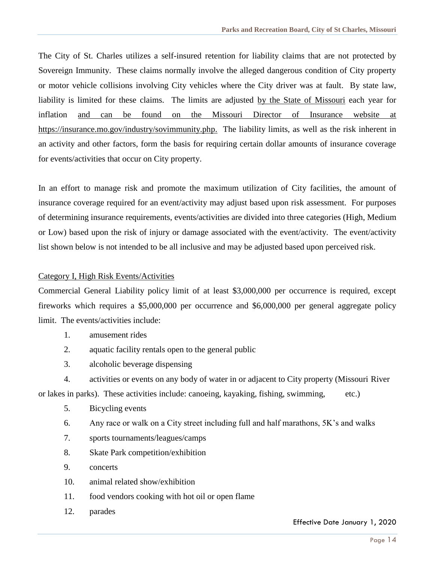The City of St. Charles utilizes a self-insured retention for liability claims that are not protected by Sovereign Immunity. These claims normally involve the alleged dangerous condition of City property or motor vehicle collisions involving City vehicles where the City driver was at fault. By state law, liability is limited for these claims. The limits are adjusted by the State of Missouri each year for inflation and can be found on the Missouri Director of Insurance website at https://insurance.mo.gov/industry/sovimmunity.php. The liability limits, as well as the risk inherent in an activity and other factors, form the basis for requiring certain dollar amounts of insurance coverage for events/activities that occur on City property.

In an effort to manage risk and promote the maximum utilization of City facilities, the amount of insurance coverage required for an event/activity may adjust based upon risk assessment. For purposes of determining insurance requirements, events/activities are divided into three categories (High, Medium or Low) based upon the risk of injury or damage associated with the event/activity. The event/activity list shown below is not intended to be all inclusive and may be adjusted based upon perceived risk.

#### Category I, High Risk Events/Activities

Commercial General Liability policy limit of at least \$3,000,000 per occurrence is required, except fireworks which requires a \$5,000,000 per occurrence and \$6,000,000 per general aggregate policy limit. The events/activities include:

- 1. amusement rides
- 2. aquatic facility rentals open to the general public
- 3. alcoholic beverage dispensing
- 4. activities or events on any body of water in or adjacent to City property (Missouri River or lakes in parks). These activities include: canoeing, kayaking, fishing, swimming, etc.)
	- 5. Bicycling events
	- 6. Any race or walk on a City street including full and half marathons, 5K's and walks
	- 7. sports tournaments/leagues/camps
	- 8. Skate Park competition/exhibition
	- 9. concerts
	- 10. animal related show/exhibition
	- 11. food vendors cooking with hot oil or open flame
	- 12. parades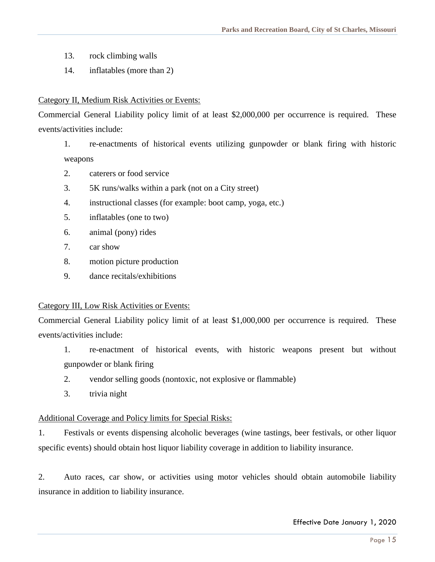- 13. rock climbing walls
- 14. inflatables (more than 2)

#### Category II, Medium Risk Activities or Events:

Commercial General Liability policy limit of at least \$2,000,000 per occurrence is required. These events/activities include:

- 1. re-enactments of historical events utilizing gunpowder or blank firing with historic weapons
- 2. caterers or food service
- 3. 5K runs/walks within a park (not on a City street)
- 4. instructional classes (for example: boot camp, yoga, etc.)
- 5. inflatables (one to two)
- 6. animal (pony) rides
- 7. car show
- 8. motion picture production
- 9. dance recitals/exhibitions

#### Category III, Low Risk Activities or Events:

Commercial General Liability policy limit of at least \$1,000,000 per occurrence is required. These events/activities include:

- 1. re-enactment of historical events, with historic weapons present but without gunpowder or blank firing
- 2. vendor selling goods (nontoxic, not explosive or flammable)
- 3. trivia night

#### Additional Coverage and Policy limits for Special Risks:

1. Festivals or events dispensing alcoholic beverages (wine tastings, beer festivals, or other liquor specific events) should obtain host liquor liability coverage in addition to liability insurance.

2. Auto races, car show, or activities using motor vehicles should obtain automobile liability insurance in addition to liability insurance.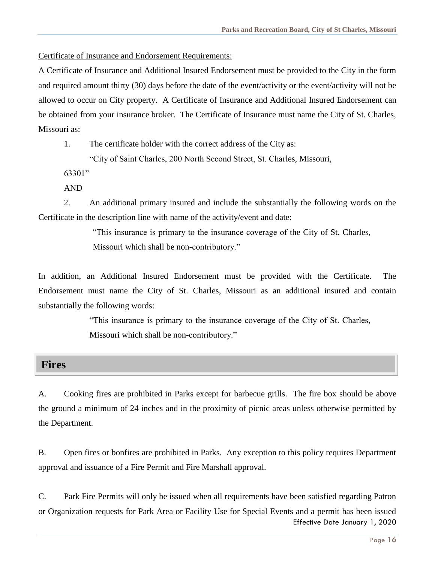Certificate of Insurance and Endorsement Requirements:

A Certificate of Insurance and Additional Insured Endorsement must be provided to the City in the form and required amount thirty (30) days before the date of the event/activity or the event/activity will not be allowed to occur on City property. A Certificate of Insurance and Additional Insured Endorsement can be obtained from your insurance broker. The Certificate of Insurance must name the City of St. Charles, Missouri as:

1. The certificate holder with the correct address of the City as:

"City of Saint Charles, 200 North Second Street, St. Charles, Missouri,

63301"

AND

2. An additional primary insured and include the substantially the following words on the Certificate in the description line with name of the activity/event and date:

> "This insurance is primary to the insurance coverage of the City of St. Charles, Missouri which shall be non-contributory."

In addition, an Additional Insured Endorsement must be provided with the Certificate. The Endorsement must name the City of St. Charles, Missouri as an additional insured and contain substantially the following words:

> "This insurance is primary to the insurance coverage of the City of St. Charles, Missouri which shall be non-contributory."

#### **Fires**

A. Cooking fires are prohibited in Parks except for barbecue grills. The fire box should be above the ground a minimum of 24 inches and in the proximity of picnic areas unless otherwise permitted by the Department.

B. Open fires or bonfires are prohibited in Parks. Any exception to this policy requires Department approval and issuance of a Fire Permit and Fire Marshall approval.

Effective Date January 1, 2020 C. Park Fire Permits will only be issued when all requirements have been satisfied regarding Patron or Organization requests for Park Area or Facility Use for Special Events and a permit has been issued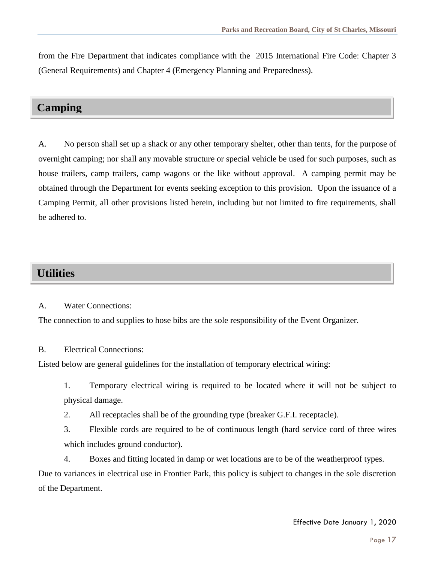from the Fire Department that indicates compliance with the 2015 International Fire Code: Chapter 3 (General Requirements) and Chapter 4 (Emergency Planning and Preparedness).

## **Camping**

A. No person shall set up a shack or any other temporary shelter, other than tents, for the purpose of overnight camping; nor shall any movable structure or special vehicle be used for such purposes, such as house trailers, camp trailers, camp wagons or the like without approval. A camping permit may be obtained through the Department for events seeking exception to this provision. Upon the issuance of a Camping Permit, all other provisions listed herein, including but not limited to fire requirements, shall be adhered to.

## **Utilities**

A. Water Connections:

The connection to and supplies to hose bibs are the sole responsibility of the Event Organizer.

#### B. Electrical Connections:

Listed below are general guidelines for the installation of temporary electrical wiring:

1. Temporary electrical wiring is required to be located where it will not be subject to physical damage.

2. All receptacles shall be of the grounding type (breaker G.F.I. receptacle).

3. Flexible cords are required to be of continuous length (hard service cord of three wires which includes ground conductor).

4. Boxes and fitting located in damp or wet locations are to be of the weatherproof types.

Due to variances in electrical use in Frontier Park, this policy is subject to changes in the sole discretion of the Department.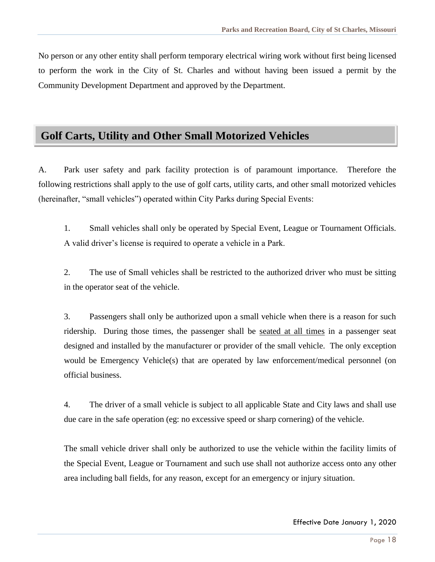No person or any other entity shall perform temporary electrical wiring work without first being licensed to perform the work in the City of St. Charles and without having been issued a permit by the Community Development Department and approved by the Department.

## **Golf Carts, Utility and Other Small Motorized Vehicles**

A. Park user safety and park facility protection is of paramount importance. Therefore the following restrictions shall apply to the use of golf carts, utility carts, and other small motorized vehicles (hereinafter, "small vehicles") operated within City Parks during Special Events:

1. Small vehicles shall only be operated by Special Event, League or Tournament Officials. A valid driver's license is required to operate a vehicle in a Park.

2. The use of Small vehicles shall be restricted to the authorized driver who must be sitting in the operator seat of the vehicle.

3. Passengers shall only be authorized upon a small vehicle when there is a reason for such ridership. During those times, the passenger shall be seated at all times in a passenger seat designed and installed by the manufacturer or provider of the small vehicle. The only exception would be Emergency Vehicle(s) that are operated by law enforcement/medical personnel (on official business.

4. The driver of a small vehicle is subject to all applicable State and City laws and shall use due care in the safe operation (eg: no excessive speed or sharp cornering) of the vehicle.

The small vehicle driver shall only be authorized to use the vehicle within the facility limits of the Special Event, League or Tournament and such use shall not authorize access onto any other area including ball fields, for any reason, except for an emergency or injury situation.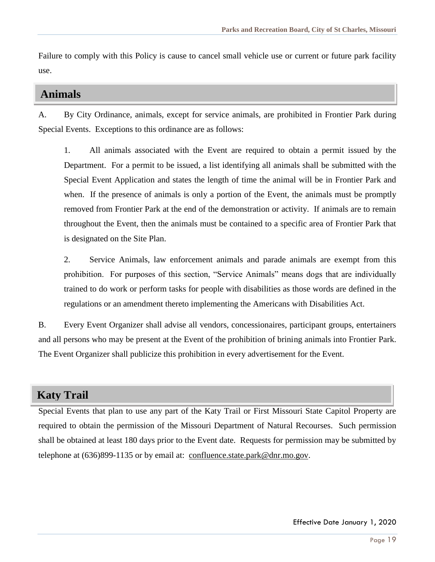Failure to comply with this Policy is cause to cancel small vehicle use or current or future park facility use.

#### **Animals**

A. By City Ordinance, animals, except for service animals, are prohibited in Frontier Park during Special Events. Exceptions to this ordinance are as follows:

1. All animals associated with the Event are required to obtain a permit issued by the Department. For a permit to be issued, a list identifying all animals shall be submitted with the Special Event Application and states the length of time the animal will be in Frontier Park and when. If the presence of animals is only a portion of the Event, the animals must be promptly removed from Frontier Park at the end of the demonstration or activity. If animals are to remain throughout the Event, then the animals must be contained to a specific area of Frontier Park that is designated on the Site Plan.

2. Service Animals, law enforcement animals and parade animals are exempt from this prohibition. For purposes of this section, "Service Animals" means dogs that are individually trained to do work or perform tasks for people with disabilities as those words are defined in the regulations or an amendment thereto implementing the Americans with Disabilities Act.

B. Every Event Organizer shall advise all vendors, concessionaires, participant groups, entertainers and all persons who may be present at the Event of the prohibition of brining animals into Frontier Park. The Event Organizer shall publicize this prohibition in every advertisement for the Event.

## **Katy Trail**

Special Events that plan to use any part of the Katy Trail or First Missouri State Capitol Property are required to obtain the permission of the Missouri Department of Natural Recourses. Such permission shall be obtained at least 180 days prior to the Event date. Requests for permission may be submitted by telephone at  $(636)899-1135$  or by email at: [confluence.state.park@dnr.mo.gov.](mailto:confluence.state.park@dnr.mo.gov)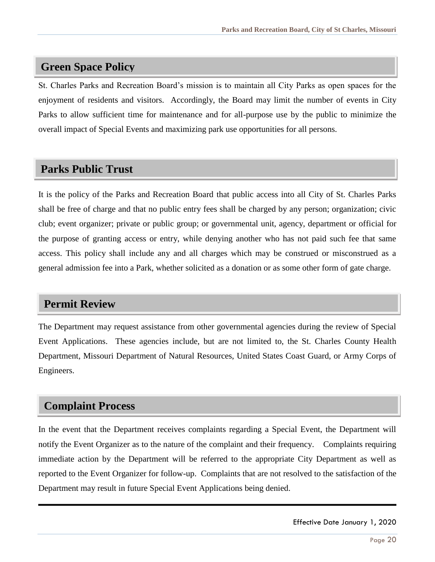## **Green Space Policy**

St. Charles Parks and Recreation Board's mission is to maintain all City Parks as open spaces for the enjoyment of residents and visitors. Accordingly, the Board may limit the number of events in City Parks to allow sufficient time for maintenance and for all-purpose use by the public to minimize the overall impact of Special Events and maximizing park use opportunities for all persons.

## **Parks Public Trust**

It is the policy of the Parks and Recreation Board that public access into all City of St. Charles Parks shall be free of charge and that no public entry fees shall be charged by any person; organization; civic club; event organizer; private or public group; or governmental unit, agency, department or official for the purpose of granting access or entry, while denying another who has not paid such fee that same access. This policy shall include any and all charges which may be construed or misconstrued as a general admission fee into a Park, whether solicited as a donation or as some other form of gate charge.

## **Permit Review**

The Department may request assistance from other governmental agencies during the review of Special Event Applications. These agencies include, but are not limited to, the St. Charles County Health Department, Missouri Department of Natural Resources, United States Coast Guard, or Army Corps of Engineers.

## **Complaint Process**

In the event that the Department receives complaints regarding a Special Event, the Department will notify the Event Organizer as to the nature of the complaint and their frequency. Complaints requiring immediate action by the Department will be referred to the appropriate City Department as well as reported to the Event Organizer for follow-up. Complaints that are not resolved to the satisfaction of the Department may result in future Special Event Applications being denied.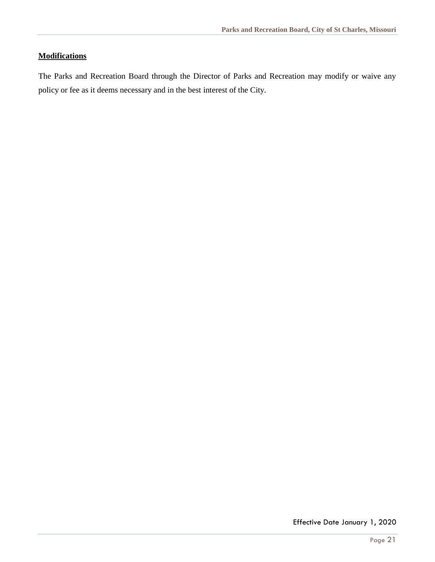#### **Modifications**

The Parks and Recreation Board through the Director of Parks and Recreation may modify or waive any policy or fee as it deems necessary and in the best interest of the City.